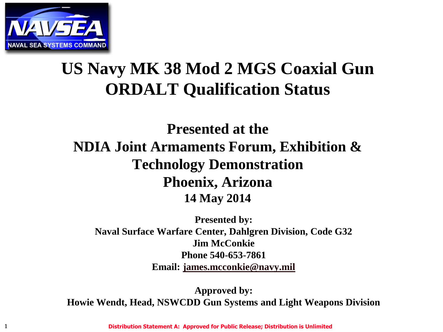

#### **US Navy MK 38 Mod 2 MGS Coaxial Gun ORDALT Qualification Status**

#### **Presented at the NDIA Joint Armaments Forum, Exhibition & Technology Demonstration Phoenix, Arizona 14 May 2014**

**Presented by: Naval Surface Warfare Center, Dahlgren Division, Code G32 Jim McConkie Phone 540-653-7861 Email: [james.mcconkie@navy.mil](mailto:james.mcconkie@navy.mil)**

**Approved by: Howie Wendt, Head, NSWCDD Gun Systems and Light Weapons Division**

1 **Distribution Statement A: Approved for Public Release; Distribution is Unlimited**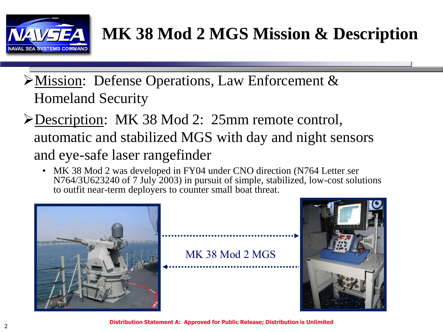

## **MK 38 Mod 2 MGS Mission & Description**

- Mission: Defense Operations, Law Enforcement & Homeland Security
- Description: MK 38 Mod 2: 25mm remote control, automatic and stabilized MGS with day and night sensors and eye-safe laser rangefinder
	- MK 38 Mod 2 was developed in FY04 under CNO direction (N764 Letter ser N764/3U623240 of 7 July 2003) in pursuit of simple, stabilized, low-cost solutions to outfit near-term deployers to counter small boat threat.



MK 38 Mod 2 MGS



**Distribution Statement A: Approved for Public Release; Distribution is Unlimited**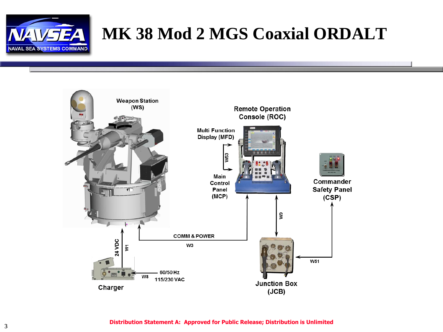

#### **MK 38 Mod 2 MGS Coaxial ORDALT**

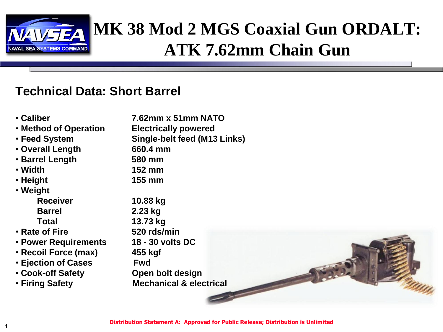

#### **MK 38 Mod 2 MGS Coaxial Gun ORDALT: ATK 7.62mm Chain Gun**

#### **Technical Data: Short Barrel**

- **Caliber 7.62mm x 51mm NATO**
- **Method of Operation Electrically powered**
- 
- **Overall Length 660.4 mm**
- **Barrel Length 580 mm**
- 
- **Height 155 mm**
- **Weight**
	- **Barrel 2.23 kg**
- 
- **Rate of Fire 520 rds/min**
- **Power Requirements 18 - 30 volts DC**
- **Recoil Force (max) 455 kgf**
- **Ejection of Cases Fwd**
- 
- 

• **Feed System Single-belt feed (M13 Links)** • **Width 152 mm Receiver 10.88 kg Total 13.73 kg** • **Cook-off Safety Open bolt design**

• **Firing Safety Mechanical & electrical** 

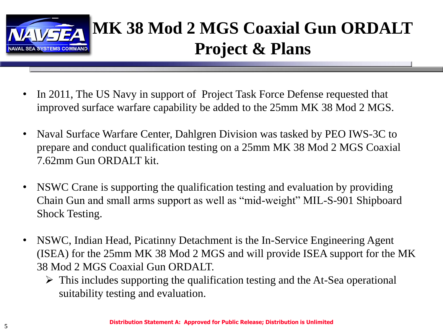

## **MK 38 Mod 2 MGS Coaxial Gun ORDALT Project & Plans**

- In 2011, The US Navy in support of Project Task Force Defense requested that improved surface warfare capability be added to the 25mm MK 38 Mod 2 MGS.
- Naval Surface Warfare Center, Dahlgren Division was tasked by PEO IWS-3C to prepare and conduct qualification testing on a 25mm MK 38 Mod 2 MGS Coaxial 7.62mm Gun ORDALT kit.
- NSWC Crane is supporting the qualification testing and evaluation by providing Chain Gun and small arms support as well as "mid-weight" MIL-S-901 Shipboard Shock Testing.
- NSWC, Indian Head, Picatinny Detachment is the In-Service Engineering Agent (ISEA) for the 25mm MK 38 Mod 2 MGS and will provide ISEA support for the MK 38 Mod 2 MGS Coaxial Gun ORDALT.
	- $\triangleright$  This includes supporting the qualification testing and the At-Sea operational suitability testing and evaluation.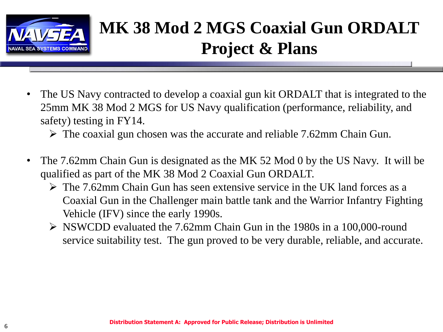

# **MK 38 Mod 2 MGS Coaxial Gun ORDALT Project & Plans**

• The US Navy contracted to develop a coaxial gun kit ORDALT that is integrated to the 25mm MK 38 Mod 2 MGS for US Navy qualification (performance, reliability, and safety) testing in FY14.

 $\triangleright$  The coaxial gun chosen was the accurate and reliable 7.62mm Chain Gun.

- The 7.62mm Chain Gun is designated as the MK 52 Mod 0 by the US Navy. It will be qualified as part of the MK 38 Mod 2 Coaxial Gun ORDALT.
	- $\triangleright$  The 7.62mm Chain Gun has seen extensive service in the UK land forces as a Coaxial Gun in the Challenger main battle tank and the Warrior Infantry Fighting Vehicle (IFV) since the early 1990s.
	- NSWCDD evaluated the 7.62mm Chain Gun in the 1980s in a 100,000-round service suitability test. The gun proved to be very durable, reliable, and accurate.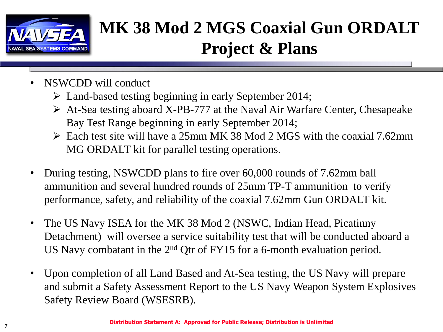

# **MK 38 Mod 2 MGS Coaxial Gun ORDALT Project & Plans**

- NSWCDD will conduct
	- Land-based testing beginning in early September 2014;
	- $\triangleright$  At-Sea testing aboard X-PB-777 at the Naval Air Warfare Center, Chesapeake Bay Test Range beginning in early September 2014;
	- $\triangleright$  Each test site will have a 25mm MK 38 Mod 2 MGS with the coaxial 7.62mm MG ORDALT kit for parallel testing operations.
- During testing, NSWCDD plans to fire over 60,000 rounds of 7.62mm ball ammunition and several hundred rounds of 25mm TP-T ammunition to verify performance, safety, and reliability of the coaxial 7.62mm Gun ORDALT kit.
- The US Navy ISEA for the MK 38 Mod 2 (NSWC, Indian Head, Picatinny Detachment) will oversee a service suitability test that will be conducted aboard a US Navy combatant in the  $2<sup>nd</sup>$  Qtr of FY15 for a 6-month evaluation period.
- Upon completion of all Land Based and At-Sea testing, the US Navy will prepare and submit a Safety Assessment Report to the US Navy Weapon System Explosives Safety Review Board (WSESRB).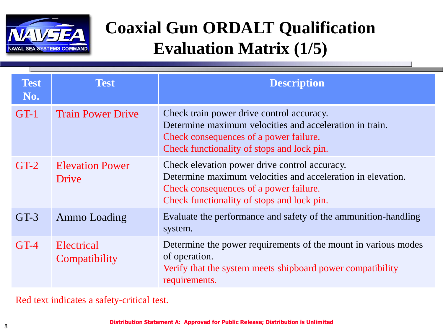

#### **Coaxial Gun ORDALT Qualification Evaluation Matrix (1/5)**

| <b>Test</b><br>No. | <b>Test</b>                     | <b>Description</b>                                                                                                                                                                                   |
|--------------------|---------------------------------|------------------------------------------------------------------------------------------------------------------------------------------------------------------------------------------------------|
| $GT-1$             | <b>Train Power Drive</b>        | Check train power drive control accuracy.<br>Determine maximum velocities and acceleration in train.<br>Check consequences of a power failure.<br>Check functionality of stops and lock pin.         |
| $GT-2$             | <b>Elevation Power</b><br>Drive | Check elevation power drive control accuracy.<br>Determine maximum velocities and acceleration in elevation.<br>Check consequences of a power failure.<br>Check functionality of stops and lock pin. |
| $GT-3$             | <b>Ammo Loading</b>             | Evaluate the performance and safety of the ammunition-handling<br>system.                                                                                                                            |
| $GT-4$             | Electrical<br>Compatibility     | Determine the power requirements of the mount in various modes<br>of operation.<br>Verify that the system meets shipboard power compatibility<br>requirements.                                       |

Red text indicates a safety-critical test.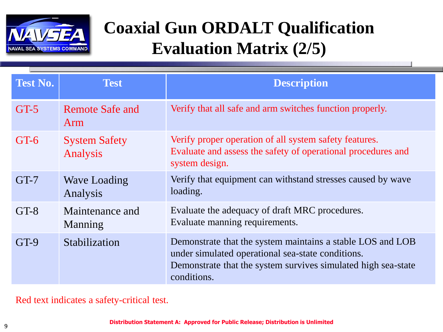

#### **Coaxial Gun ORDALT Qualification Evaluation Matrix (2/5)**

| <b>Test No.</b> | <b>Test</b>                      | <b>Description</b>                                                                                                                                                                              |
|-----------------|----------------------------------|-------------------------------------------------------------------------------------------------------------------------------------------------------------------------------------------------|
| $GT-5$          | <b>Remote Safe and</b><br>Arm    | Verify that all safe and arm switches function properly.                                                                                                                                        |
| $GT-6$          | <b>System Safety</b><br>Analysis | Verify proper operation of all system safety features.<br>Evaluate and assess the safety of operational procedures and<br>system design.                                                        |
| $GT-7$          | <b>Wave Loading</b><br>Analysis  | Verify that equipment can withstand stresses caused by wave<br>loading.                                                                                                                         |
| $GT-8$          | Maintenance and<br>Manning       | Evaluate the adequacy of draft MRC procedures.<br>Evaluate manning requirements.                                                                                                                |
| $GT-9$          | Stabilization                    | Demonstrate that the system maintains a stable LOS and LOB<br>under simulated operational sea-state conditions.<br>Demonstrate that the system survives simulated high sea-state<br>conditions. |

Red text indicates a safety-critical test.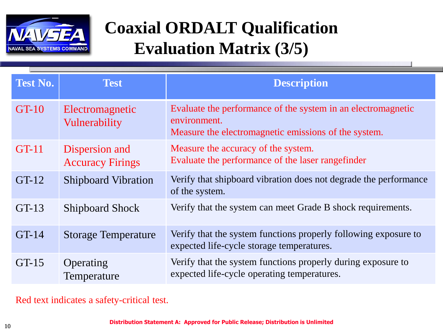

## **Coaxial ORDALT Qualification Evaluation Matrix (3/5)**

| <b>Test No.</b> | <b>Test</b>                               | <b>Description</b>                                                                                                                   |
|-----------------|-------------------------------------------|--------------------------------------------------------------------------------------------------------------------------------------|
| $GT-10$         | Electromagnetic<br>Vulnerability          | Evaluate the performance of the system in an electromagnetic<br>environment.<br>Measure the electromagnetic emissions of the system. |
| <b>GT-11</b>    | Dispersion and<br><b>Accuracy Firings</b> | Measure the accuracy of the system.<br>Evaluate the performance of the laser rangefinder                                             |
| $GT-12$         | <b>Shipboard Vibration</b>                | Verify that shipboard vibration does not degrade the performance<br>of the system.                                                   |
| $GT-13$         | <b>Shipboard Shock</b>                    | Verify that the system can meet Grade B shock requirements.                                                                          |
| $GT-14$         | <b>Storage Temperature</b>                | Verify that the system functions properly following exposure to<br>expected life-cycle storage temperatures.                         |
| $GT-15$         | Operating<br>Temperature                  | Verify that the system functions properly during exposure to<br>expected life-cycle operating temperatures.                          |

Red text indicates a safety-critical test.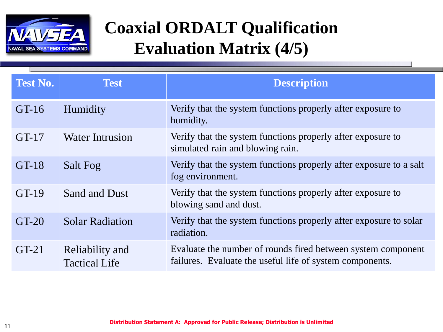

## **Coaxial ORDALT Qualification Evaluation Matrix (4/5)**

| <b>Test No.</b> | <b>Test</b>                             | <b>Description</b>                                                                                                       |
|-----------------|-----------------------------------------|--------------------------------------------------------------------------------------------------------------------------|
| $GT-16$         | Humidity                                | Verify that the system functions properly after exposure to<br>humidity.                                                 |
| $GT-17$         | <b>Water Intrusion</b>                  | Verify that the system functions properly after exposure to<br>simulated rain and blowing rain.                          |
| $GT-18$         | <b>Salt Fog</b>                         | Verify that the system functions properly after exposure to a salt<br>fog environment.                                   |
| $GT-19$         | <b>Sand and Dust</b>                    | Verify that the system functions properly after exposure to<br>blowing sand and dust.                                    |
| $GT-20$         | <b>Solar Radiation</b>                  | Verify that the system functions properly after exposure to solar<br>radiation.                                          |
| $GT-21$         | Reliability and<br><b>Tactical Life</b> | Evaluate the number of rounds fired between system component<br>failures. Evaluate the useful life of system components. |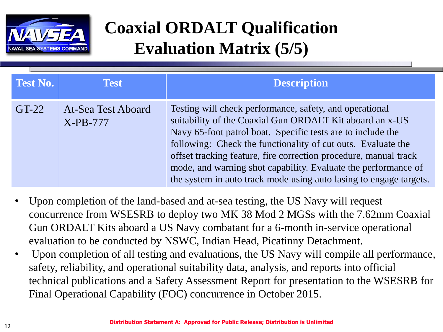

## **Coaxial ORDALT Qualification Evaluation Matrix (5/5)**

| <b>Test No.</b> | <b>Test</b>                      | <b>Description</b>                                                                                                                                                                                                                                                                                                                                                                                                                                             |
|-----------------|----------------------------------|----------------------------------------------------------------------------------------------------------------------------------------------------------------------------------------------------------------------------------------------------------------------------------------------------------------------------------------------------------------------------------------------------------------------------------------------------------------|
| $GT-22$         | At-Sea Test Aboard<br>$X-PB-777$ | Testing will check performance, safety, and operational<br>suitability of the Coaxial Gun ORDALT Kit aboard an x-US<br>Navy 65-foot patrol boat. Specific tests are to include the<br>following: Check the functionality of cut outs. Evaluate the<br>offset tracking feature, fire correction procedure, manual track<br>mode, and warning shot capability. Evaluate the performance of<br>the system in auto track mode using auto lasing to engage targets. |

- Upon completion of the land-based and at-sea testing, the US Navy will request concurrence from WSESRB to deploy two MK 38 Mod 2 MGSs with the 7.62mm Coaxial Gun ORDALT Kits aboard a US Navy combatant for a 6-month in-service operational evaluation to be conducted by NSWC, Indian Head, Picatinny Detachment.
- Upon completion of all testing and evaluations, the US Navy will compile all performance, safety, reliability, and operational suitability data, analysis, and reports into official technical publications and a Safety Assessment Report for presentation to the WSESRB for Final Operational Capability (FOC) concurrence in October 2015.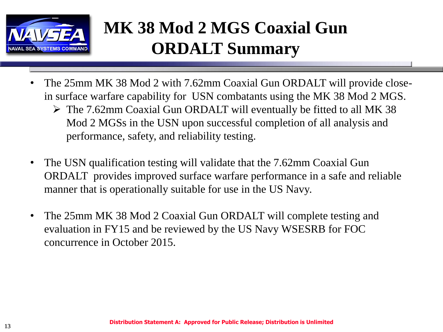

## **MK 38 Mod 2 MGS Coaxial Gun ORDALT Summary**

- The 25mm MK 38 Mod 2 with 7.62mm Coaxial Gun ORDALT will provide closein surface warfare capability for USN combatants using the MK 38 Mod 2 MGS.
	- $\triangleright$  The 7.62mm Coaxial Gun ORDALT will eventually be fitted to all MK 38 Mod 2 MGSs in the USN upon successful completion of all analysis and performance, safety, and reliability testing.
- The USN qualification testing will validate that the 7.62mm Coaxial Gun ORDALT provides improved surface warfare performance in a safe and reliable manner that is operationally suitable for use in the US Navy.
- The 25mm MK 38 Mod 2 Coaxial Gun ORDALT will complete testing and evaluation in FY15 and be reviewed by the US Navy WSESRB for FOC concurrence in October 2015.